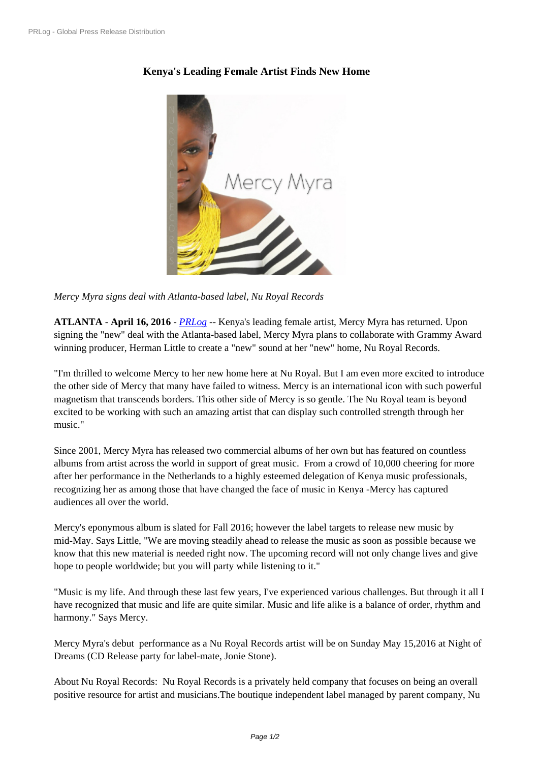## **[Keny](https://www.prlog.org/)a's Leading Female Artist Finds New Home**



*Mercy Myra signs deal with [Atlanta-based label, Nu Royal Records](https://www.prlog.org/12550572-mercy-myra.jpg)*

**ATLANTA** - **April 16, 2016** - *PRLog* -- Kenya's leading female artist, Mercy Myra has returned. Upon signing the "new" deal with the Atlanta-based label, Mercy Myra plans to collaborate with Grammy Award winning producer, Herman Little to create a "new" sound at her "new" home, Nu Royal Records.

"I'm thrilled to welcome Mercy [to her](https://www.prlog.org) new home here at Nu Royal. But I am even more excited to introduce the other side of Mercy that many have failed to witness. Mercy is an international icon with such powerful magnetism that transcends borders. This other side of Mercy is so gentle. The Nu Royal team is beyond excited to be working with such an amazing artist that can display such controlled strength through her music."

Since 2001, Mercy Myra has released two commercial albums of her own but has featured on countless albums from artist across the world in support of great music. From a crowd of 10,000 cheering for more after her performance in the Netherlands to a highly esteemed delegation of Kenya music professionals, recognizing her as among those that have changed the face of music in Kenya -Mercy has captured audiences all over the world.

Mercy's eponymous album is slated for Fall 2016; however the label targets to release new music by mid-May. Says Little, "We are moving steadily ahead to release the music as soon as possible because we know that this new material is needed right now. The upcoming record will not only change lives and give hope to people worldwide; but you will party while listening to it."

"Music is my life. And through these last few years, I've experienced various challenges. But through it all I have recognized that music and life are quite similar. Music and life alike is a balance of order, rhythm and harmony." Says Mercy.

Mercy Myra's debut performance as a Nu Royal Records artist will be on Sunday May 15,2016 at Night of Dreams (CD Release party for label-mate, Jonie Stone).

About Nu Royal Records: Nu Royal Records is a privately held company that focuses on being an overall positive resource for artist and musicians.The boutique independent label managed by parent company, Nu